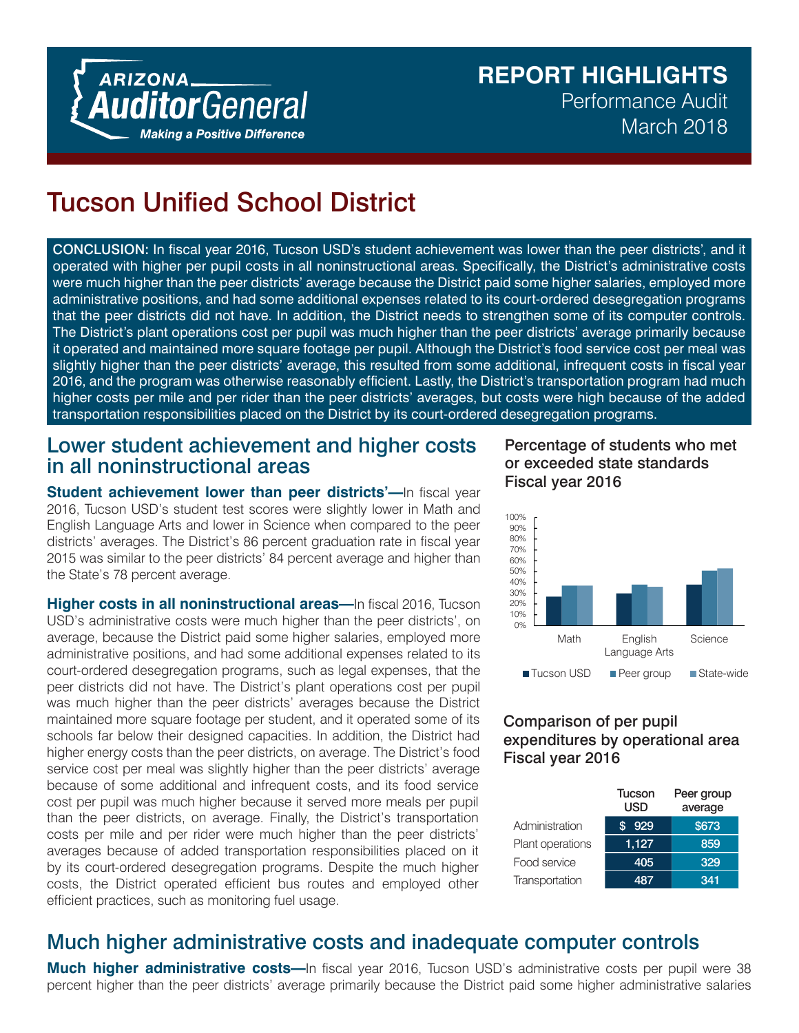# **REPORT HIGHLIGHTS** Performance Audit March 2018

# Tucson Unified School District

CONCLUSION: In fiscal year 2016, Tucson USD's student achievement was lower than the peer districts', and it operated with higher per pupil costs in all noninstructional areas. Specifically, the District's administrative costs were much higher than the peer districts' average because the District paid some higher salaries, employed more administrative positions, and had some additional expenses related to its court-ordered desegregation programs that the peer districts did not have. In addition, the District needs to strengthen some of its computer controls. The District's plant operations cost per pupil was much higher than the peer districts' average primarily because it operated and maintained more square footage per pupil. Although the District's food service cost per meal was slightly higher than the peer districts' average, this resulted from some additional, infrequent costs in fiscal year 2016, and the program was otherwise reasonably efficient. Lastly, the District's transportation program had much higher costs per mile and per rider than the peer districts' averages, but costs were high because of the added transportation responsibilities placed on the District by its court-ordered desegregation programs.

### Lower student achievement and higher costs in all noninstructional areas

**Student achievement lower than peer districts'—In fiscal year** 2016, Tucson USD's student test scores were slightly lower in Math and English Language Arts and lower in Science when compared to the peer districts' averages. The District's 86 percent graduation rate in fiscal year 2015 was similar to the peer districts' 84 percent average and higher than the State's 78 percent average.

**Higher costs in all noninstructional areas—**In fiscal 2016, Tucson USD's administrative costs were much higher than the peer districts', on average, because the District paid some higher salaries, employed more administrative positions, and had some additional expenses related to its court-ordered desegregation programs, such as legal expenses, that the peer districts did not have. The District's plant operations cost per pupil was much higher than the peer districts' averages because the District maintained more square footage per student, and it operated some of its schools far below their designed capacities. In addition, the District had higher energy costs than the peer districts, on average. The District's food service cost per meal was slightly higher than the peer districts' average because of some additional and infrequent costs, and its food service cost per pupil was much higher because it served more meals per pupil than the peer districts, on average. Finally, the District's transportation costs per mile and per rider were much higher than the peer districts' averages because of added transportation responsibilities placed on it by its court-ordered desegregation programs. Despite the much higher costs, the District operated efficient bus routes and employed other efficient practices, such as monitoring fuel usage.

#### Percentage of students who met or exceeded state standards Fiscal year 2016



#### Comparison of per pupil expenditures by operational area Fiscal year 2016

|                  | Tucson<br>usd | Peer group<br>average |
|------------------|---------------|-----------------------|
| Administration   | \$929         | \$673                 |
| Plant operations | 1,127         | 859                   |
| Food service     | 405           | 329                   |
| Transportation   | 487           | 341                   |

## Much higher administrative costs and inadequate computer controls

**Much higher administrative costs—**In fiscal year 2016, Tucson USD's administrative costs per pupil were 38 percent higher than the peer districts' average primarily because the District paid some higher administrative salaries